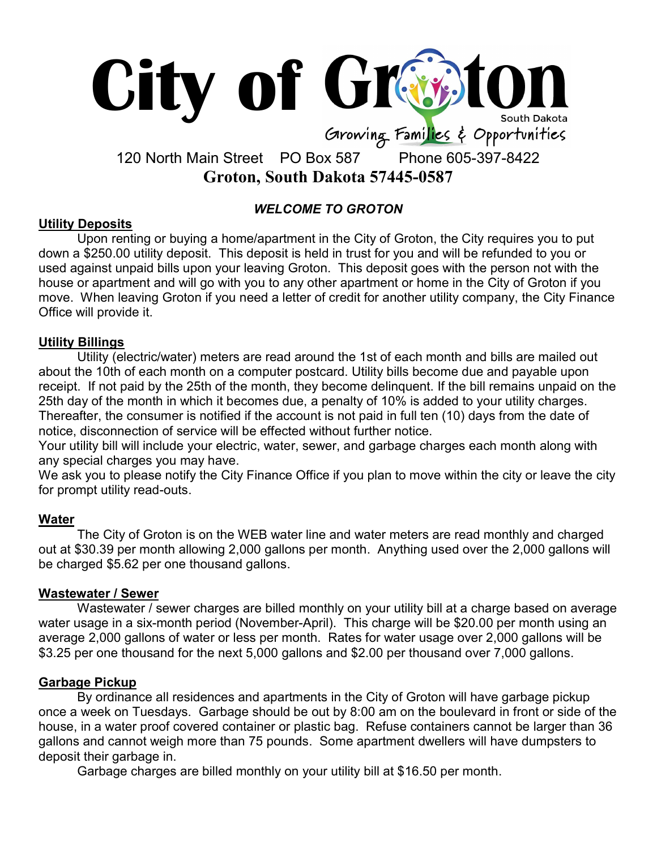

# 120 North Main Street PO Box 587 Phone 605-397-8422 Groton, South Dakota 57445-0587

# WELCOME TO GROTON

#### Utility Deposits

Upon renting or buying a home/apartment in the City of Groton, the City requires you to put down a \$250.00 utility deposit. This deposit is held in trust for you and will be refunded to you or used against unpaid bills upon your leaving Groton. This deposit goes with the person not with the house or apartment and will go with you to any other apartment or home in the City of Groton if you move. When leaving Groton if you need a letter of credit for another utility company, the City Finance Office will provide it.

#### Utility Billings

Utility (electric/water) meters are read around the 1st of each month and bills are mailed out about the 10th of each month on a computer postcard. Utility bills become due and payable upon receipt. If not paid by the 25th of the month, they become delinquent. If the bill remains unpaid on the 25th day of the month in which it becomes due, a penalty of 10% is added to your utility charges. Thereafter, the consumer is notified if the account is not paid in full ten (10) days from the date of notice, disconnection of service will be effected without further notice.

Your utility bill will include your electric, water, sewer, and garbage charges each month along with any special charges you may have.

We ask you to please notify the City Finance Office if you plan to move within the city or leave the city for prompt utility read-outs.

## **Water**

The City of Groton is on the WEB water line and water meters are read monthly and charged out at \$30.39 per month allowing 2,000 gallons per month. Anything used over the 2,000 gallons will be charged \$5.62 per one thousand gallons.

#### Wastewater / Sewer

Wastewater / sewer charges are billed monthly on your utility bill at a charge based on average water usage in a six-month period (November-April). This charge will be \$20.00 per month using an average 2,000 gallons of water or less per month. Rates for water usage over 2,000 gallons will be \$3.25 per one thousand for the next 5,000 gallons and \$2.00 per thousand over 7,000 gallons.

## Garbage Pickup

By ordinance all residences and apartments in the City of Groton will have garbage pickup once a week on Tuesdays. Garbage should be out by 8:00 am on the boulevard in front or side of the house, in a water proof covered container or plastic bag. Refuse containers cannot be larger than 36 gallons and cannot weigh more than 75 pounds. Some apartment dwellers will have dumpsters to deposit their garbage in.

Garbage charges are billed monthly on your utility bill at \$16.50 per month.